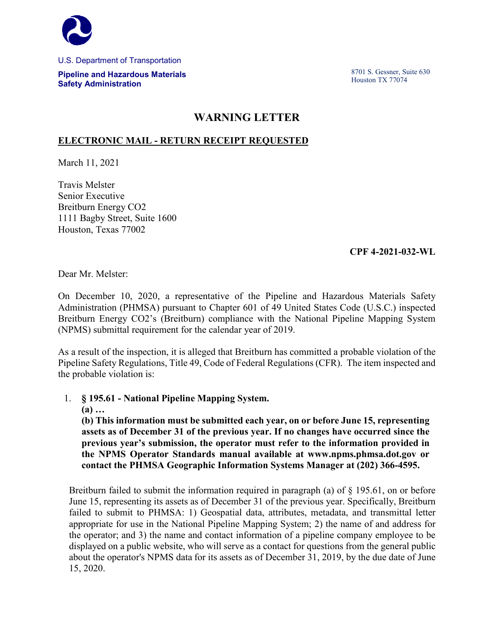

U.S. Department of Transportation

**Pipeline and Hazardous Materials Safety Administration**

8701 S. Gessner, Suite 630 Houston TX 77074

## **WARNING LETTER**

## **ELECTRONIC MAIL - RETURN RECEIPT REQUESTED**

March 11, 2021

Travis Melster Senior Executive Breitburn Energy CO2 1111 Bagby Street, Suite 1600 Houston, Texas 77002

## **CPF 4-2021-032-WL**

Dear Mr. Melster:

On December 10, 2020, a representative of the Pipeline and Hazardous Materials Safety Administration (PHMSA) pursuant to Chapter 601 of 49 United States Code (U.S.C.) inspected Breitburn Energy CO2's (Breitburn) compliance with the National Pipeline Mapping System (NPMS) submittal requirement for the calendar year of 2019.

As a result of the inspection, it is alleged that Breitburn has committed a probable violation of the Pipeline Safety Regulations, Title 49, Code of Federal Regulations (CFR). The item inspected and the probable violation is:

1. **§ 195.61 - National Pipeline Mapping System.**

**(a) …** 

**(b) This information must be submitted each year, on or before June 15, representing assets as of December 31 of the previous year. If no changes have occurred since the previous year's submission, the operator must refer to the information provided in the NPMS Operator Standards manual available at www.npms.phmsa.dot.gov or contact the PHMSA Geographic Information Systems Manager at (202) 366-4595.**

Breitburn failed to submit the information required in paragraph (a) of  $\S$  195.61, on or before June 15, representing its assets as of December 31 of the previous year. Specifically, Breitburn failed to submit to PHMSA: 1) Geospatial data, attributes, metadata, and transmittal letter appropriate for use in the National Pipeline Mapping System; 2) the name of and address for the operator; and 3) the name and contact information of a pipeline company employee to be displayed on a public website, who will serve as a contact for questions from the general public about the operator's NPMS data for its assets as of December 31, 2019, by the due date of June 15, 2020.